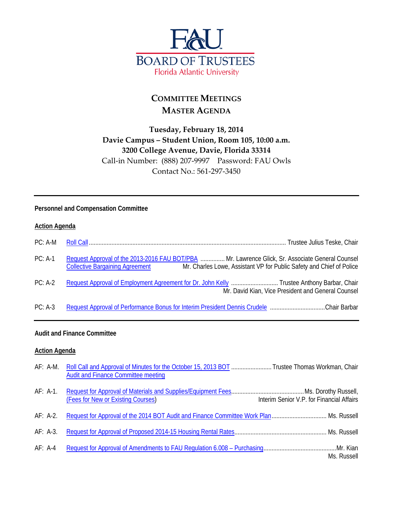

# **COMMITTEE MEETINGS MASTER AGENDA**

## **Tuesday, February 18, 2014 Davie Campus – Student Union, Room 105, 10:00 a.m. 3200 College Avenue, Davie, Florida 33314** Call-in Number: (888) 207-9997 Password: FAU Owls Contact No.: 561-297-3450

### **Personnel and Compensation Committee**

### **Action Agenda**

| PC: A-M   |                                                                                                                                                                                                                    |
|-----------|--------------------------------------------------------------------------------------------------------------------------------------------------------------------------------------------------------------------|
| $PC: A-1$ | Request Approval of the 2013-2016 FAU BOT/PBA  Mr. Lawrence Glick, Sr. Associate General Counsel<br>Mr. Charles Lowe, Assistant VP for Public Safety and Chief of Police<br><b>Collective Bargaining Agreement</b> |
| $PC: A-2$ | Request Approval of Employment Agreement for Dr. John Kelly  Trustee Anthony Barbar, Chair<br>Mr. David Kian, Vice President and General Counsel                                                                   |
| $PC: A-3$ | Request Approval of Performance Bonus for Interim President Dennis Crudele Chair Barbar                                                                                                                            |

### **Audit and Finance Committee**

#### **Action Agenda**

|           | AF: A-M. Roll Call and Approval of Minutes for the October 15, 2013 BOT  Trustee Thomas Workman, Chair<br><b>Audit and Finance Committee meeting</b> |                                           |
|-----------|------------------------------------------------------------------------------------------------------------------------------------------------------|-------------------------------------------|
| AF: A-1.  | (Fees for New or Existing Courses)                                                                                                                   | Interim Senior V.P. for Financial Affairs |
| AF: A-2.  |                                                                                                                                                      |                                           |
| AF: A-3.  |                                                                                                                                                      |                                           |
| $AF: A-4$ |                                                                                                                                                      | Ms. Russell                               |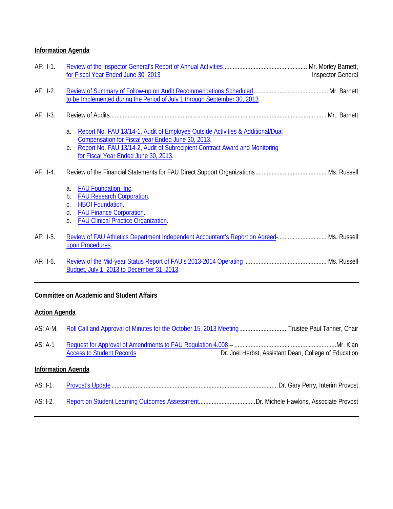## **Information Agenda**

| $AF: I-1.$ | for Fiscal Year Ended June 30, 2013                                                                                                                                                                                                                                    | <b>Inspector General</b> |
|------------|------------------------------------------------------------------------------------------------------------------------------------------------------------------------------------------------------------------------------------------------------------------------|--------------------------|
| $AF: I-2.$ | to be Implemented during the Period of July 1 through September 30, 2013                                                                                                                                                                                               |                          |
| $AF: I-3.$ |                                                                                                                                                                                                                                                                        |                          |
|            | Report No. FAU 13/14-1, Audit of Employee Outside Activities & Additional/Dual<br>a.<br>Compensation for Fiscal year Ended June 30, 2013.<br>Report No. FAU 13/14-2, Audit of Subrecipient Contract Award and Monitoring<br>b.<br>for Fiscal Year Ended June 30, 2013. |                          |
| $AF: I-4.$ |                                                                                                                                                                                                                                                                        |                          |
|            | <b>FAU Foundation, Inc.</b><br>a.<br><b>FAU Research Corporation.</b><br>$b_{\cdot}$                                                                                                                                                                                   |                          |
|            | <b>HBOI Foundation.</b><br>C.<br><b>FAU Finance Corporation.</b><br>d.<br><b>FAU Clinical Practice Organization.</b><br>е.                                                                                                                                             |                          |
| $AF: I-5.$ | Review of FAU Athletics Department Independent Accountant's Report on Agreed  Ms. Russell<br>upon Procedures.                                                                                                                                                          |                          |
| $AF: I-6.$ | Budget, July 1, 2013 to December 31, 2013.                                                                                                                                                                                                                             |                          |

## **Committee on Academic and Student Affairs**

## **Action Agenda**

| AS: A-M.                  | Roll Call and Approval of Minutes for the October 15, 2013 MeetingTrustee Paul Tanner, Chair |                                                       |  |  |
|---------------------------|----------------------------------------------------------------------------------------------|-------------------------------------------------------|--|--|
| AS: A-1                   | <b>Access to Student Records</b>                                                             | Dr. Joel Herbst, Assistant Dean, College of Education |  |  |
| <b>Information Agenda</b> |                                                                                              |                                                       |  |  |
| AS: I-1.                  |                                                                                              |                                                       |  |  |
| $AS: I-2.$                |                                                                                              |                                                       |  |  |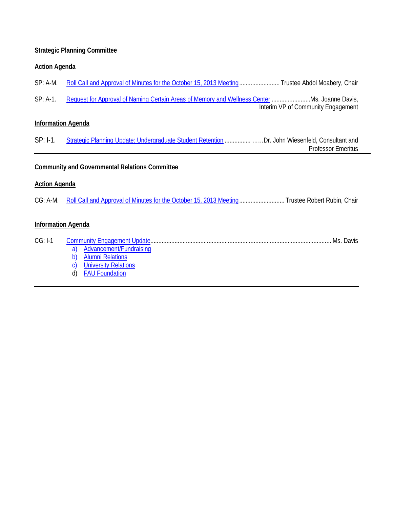## **Strategic Planning Committee**

## **Action Agenda**

| $SP: A-M.$                                            | Roll Call and Approval of Minutes for the October 15, 2013 Meeting Trustee Abdol Moabery, Chair |                                    |  |
|-------------------------------------------------------|-------------------------------------------------------------------------------------------------|------------------------------------|--|
| $SP: A-1.$                                            | Request for Approval of Naming Certain Areas of Memory and Wellness Center  Ms. Joanne Davis,   | Interim VP of Community Engagement |  |
| <b>Information Agenda</b>                             |                                                                                                 |                                    |  |
| $SP: I-1.$                                            | Strategic Planning Update: Undergraduate Student Retention Dr. John Wiesenfeld, Consultant and  | <b>Professor Emeritus</b>          |  |
| <b>Community and Governmental Relations Committee</b> |                                                                                                 |                                    |  |
| <b>Action Agenda</b>                                  |                                                                                                 |                                    |  |
| $CG: A-M.$                                            | Roll Call and Approval of Minutes for the October 15, 2013 Meeting Trustee Robert Rubin, Chair  |                                    |  |
| <b>Information Agenda</b>                             |                                                                                                 |                                    |  |
| $\cap$ $\cap$ $\cdot$ $\vdash$ 1.1                    | Community Engagament Undate                                                                     | Me Davie                           |  |

| $CG: I-1$ | Ms. Davis                   |  |
|-----------|-----------------------------|--|
|           | Advancement/Fundraising     |  |
|           | <b>Alumni Relations</b>     |  |
|           | <b>University Relations</b> |  |
|           | <b>FAU Foundation</b>       |  |
|           |                             |  |